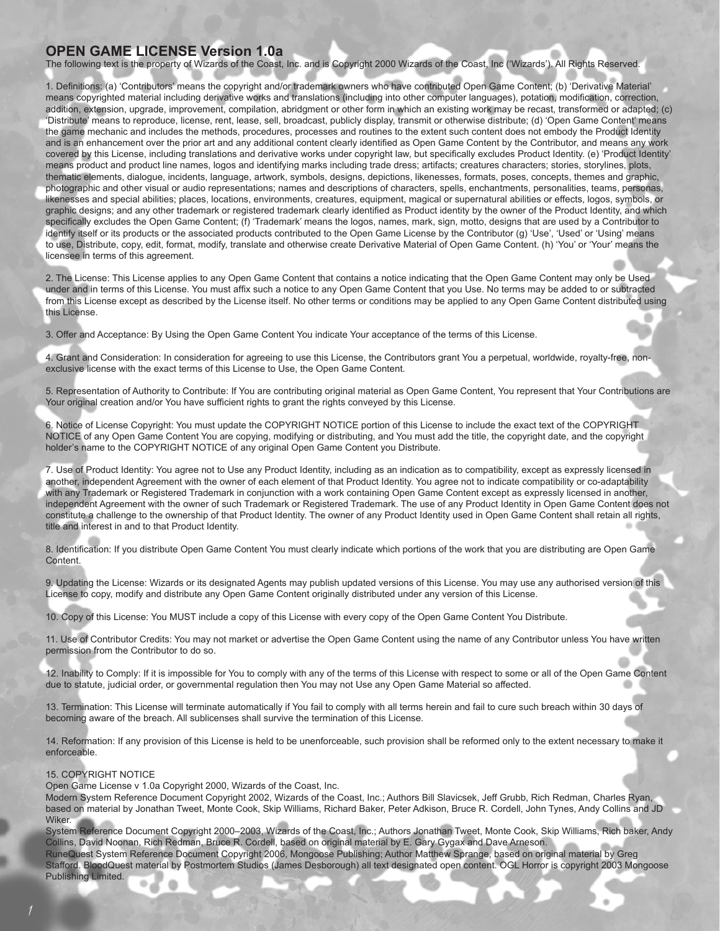## **OPEN GAME LICENSE Version 1.0a**

The following text is the property of Wizards of the Coast, Inc. and is Copyright 2000 Wizards of the Coast, Inc ('Wizards'). All Rights Reserved.

1. Definitions: (a) 'Contributors' means the copyright and/or trademark owners who have contributed Open Game Content; (b) 'Derivative Material' means copyrighted material including derivative works and translations (including into other computer languages), potation, modification, correction, addition, extension, upgrade, improvement, compilation, abridgment or other form in which an existing work may be recast, transformed or adapted; (c) 'Distribute' means to reproduce, license, rent, lease, sell, broadcast, publicly display, transmit or otherwise distribute; (d) 'Open Game Content' means the game mechanic and includes the methods, procedures, processes and routines to the extent such content does not embody the Product Identity and is an enhancement over the prior art and any additional content clearly identified as Open Game Content by the Contributor, and means any work covered by this License, including translations and derivative works under copyright law, but specifically excludes Product Identity. (e) 'Product Identity' means product and product line names, logos and identifying marks including trade dress; artifacts; creatures characters; stories, storylines, plots, thematic elements, dialogue, incidents, language, artwork, symbols, designs, depictions, likenesses, formats, poses, concepts, themes and graphic, photographic and other visual or audio representations; names and descriptions of characters, spells, enchantments, personalities, teams, personas, likenesses and special abilities; places, locations, environments, creatures, equipment, magical or supernatural abilities or effects, logos, symbols, or graphic designs; and any other trademark or registered trademark clearly identified as Product identity by the owner of the Product Identity, and which specifically excludes the Open Game Content; (f) 'Trademark' means the logos, names, mark, sign, motto, designs that are used by a Contributor to identify itself or its products or the associated products contributed to the Open Game License by the Contributor (g) 'Use', 'Used' or 'Using' means to use, Distribute, copy, edit, format, modify, translate and otherwise create Derivative Material of Open Game Content. (h) 'You' or 'Your' means the licensee in terms of this agreement.

2. The License: This License applies to any Open Game Content that contains a notice indicating that the Open Game Content may only be Used under and in terms of this License. You must affix such a notice to any Open Game Content that you Use. No terms may be added to or subtracted from this License except as described by the License itself. No other terms or conditions may be applied to any Open Game Content distributed using this License.

3. Offer and Acceptance: By Using the Open Game Content You indicate Your acceptance of the terms of this License.

4. Grant and Consideration: In consideration for agreeing to use this License, the Contributors grant You a perpetual, worldwide, royalty-free, nonexclusive license with the exact terms of this License to Use, the Open Game Content.

5. Representation of Authority to Contribute: If You are contributing original material as Open Game Content, You represent that Your Contributions are Your original creation and/or You have sufficient rights to grant the rights conveyed by this License.

6. Notice of License Copyright: You must update the COPYRIGHT NOTICE portion of this License to include the exact text of the COPYRIGHT NOTICE of any Open Game Content You are copying, modifying or distributing, and You must add the title, the copyright date, and the copyright holder's name to the COPYRIGHT NOTICE of any original Open Game Content you Distribute.

7. Use of Product Identity: You agree not to Use any Product Identity, including as an indication as to compatibility, except as expressly licensed in another, independent Agreement with the owner of each element of that Product Identity. You agree not to indicate compatibility or co-adaptability with any Trademark or Registered Trademark in conjunction with a work containing Open Game Content except as expressly licensed in another, independent Agreement with the owner of such Trademark or Registered Trademark. The use of any Product Identity in Open Game Content does not constitute a challenge to the ownership of that Product Identity. The owner of any Product Identity used in Open Game Content shall retain all rights, title and interest in and to that Product Identity.

8. Identification: If you distribute Open Game Content You must clearly indicate which portions of the work that you are distributing are Open Game Content.

9. Updating the License: Wizards or its designated Agents may publish updated versions of this License. You may use any authorised version of this License to copy, modify and distribute any Open Game Content originally distributed under any version of this License.

10. Copy of this License: You MUST include a copy of this License with every copy of the Open Game Content You Distribute.

11. Use of Contributor Credits: You may not market or advertise the Open Game Content using the name of any Contributor unless You have written permission from the Contributor to do so.

12. Inability to Comply: If it is impossible for You to comply with any of the terms of this License with respect to some or all of the Open Game Content due to statute, judicial order, or governmental regulation then You may not Use any Open Game Material so affected.

13. Termination: This License will terminate automatically if You fail to comply with all terms herein and fail to cure such breach within 30 days of becoming aware of the breach. All sublicenses shall survive the termination of this License.

14. Reformation: If any provision of this License is held to be unenforceable, such provision shall be reformed only to the extent necessary to make it enforceable.

## 15. COPYRIGHT NOTICE

Open Game License v 1.0a Copyright 2000, Wizards of the Coast, Inc.

Modern System Reference Document Copyright 2002, Wizards of the Coast, Inc.; Authors Bill Slavicsek, Jeff Grubb, Rich Redman, Charles Ryan, based on material by Jonathan Tweet, Monte Cook, Skip Williams, Richard Baker, Peter Adkison, Bruce R. Cordell, John Tynes, Andy Collins and JD Wiker.

System Reference Document Copyright 2000–2003, Wizards of the Coast, Inc.; Authors Jonathan Tweet, Monte Cook, Skip Williams, Rich baker, Andy Collins, David Noonan, Rich Redman, Bruce R. Cordell, based on original material by E. Gary Gygax and Dave Arneson.

RuneQuest System Reference Document Copyright 2006, Mongoose Publishing; Author Matthew Sprange, based on original material by Greg Stafford. BloodQuest material by Postmortem Studios (James Desborough) all text designated open content. OGL Horror is copyright 2003 Mongoose Publishing Limited.